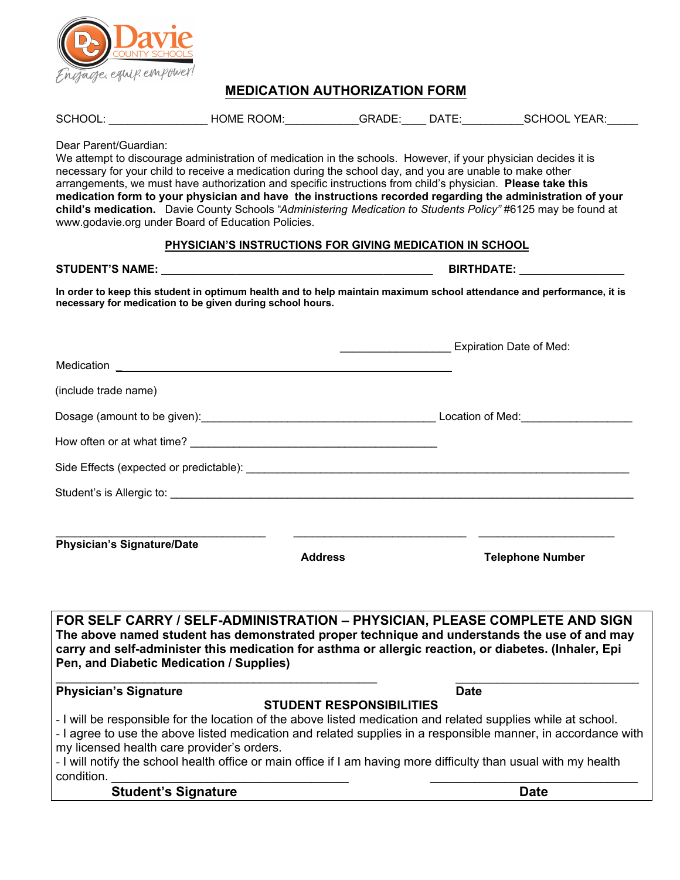

## **MEDICATION AUTHORIZATION FORM**

| SCHOOL: | <b>HOME ROOM:</b> | GRADE: | DATE: | <b>SCHOOL YEAR:</b> |
|---------|-------------------|--------|-------|---------------------|
|         |                   |        |       |                     |

Dear Parent/Guardian:

We attempt to discourage administration of medication in the schools. However, if your physician decides it is necessary for your child to receive a medication during the school day, and you are unable to make other arrangements, we must have authorization and specific instructions from child's physician. **Please take this medication form to your physician and have the instructions recorded regarding the administration of your child's medication.** Davie County Schools "*Administering Medication to Students Policy"* #6125 may be found at [www.godavie.org un](http://www.godavie.org)der Board of Education Policies.

## **PHYSICIAN'S INSTRUCTIONS FOR GIVING MEDICATION IN SCHOOL**

## **STUDENT'S NAME: \_\_\_\_\_\_\_\_\_\_\_\_\_\_\_\_\_\_\_\_\_\_\_\_\_\_\_\_\_\_\_\_\_\_\_\_\_\_\_\_\_\_\_\_ BIRTHDATE: \_\_\_\_\_\_\_\_\_\_\_\_\_\_\_\_\_**

**In order to keep this student in optimum health and to help maintain maximum school attendance and performance, it is necessary for medication to be given during school hours.**

|                                                          |                                 | Expiration Date of Med:                                                                                                                                                                                                                                                                                                                            |  |
|----------------------------------------------------------|---------------------------------|----------------------------------------------------------------------------------------------------------------------------------------------------------------------------------------------------------------------------------------------------------------------------------------------------------------------------------------------------|--|
|                                                          |                                 |                                                                                                                                                                                                                                                                                                                                                    |  |
| (include trade name)                                     |                                 |                                                                                                                                                                                                                                                                                                                                                    |  |
|                                                          |                                 |                                                                                                                                                                                                                                                                                                                                                    |  |
|                                                          |                                 |                                                                                                                                                                                                                                                                                                                                                    |  |
|                                                          |                                 |                                                                                                                                                                                                                                                                                                                                                    |  |
|                                                          |                                 |                                                                                                                                                                                                                                                                                                                                                    |  |
| <b>Physician's Signature/Date</b>                        | <b>Address</b>                  | <b>Telephone Number</b>                                                                                                                                                                                                                                                                                                                            |  |
|                                                          |                                 | FOR SELF CARRY / SELF-ADMINISTRATION - PHYSICIAN, PLEASE COMPLETE AND SIGN<br>The above named student has demonstrated proper technique and understands the use of and may<br>carry and self-administer this medication for asthma or allergic reaction, or diabetes. (Inhaler, Epi                                                                |  |
| Pen, and Diabetic Medication / Supplies)                 |                                 |                                                                                                                                                                                                                                                                                                                                                    |  |
| <b>Physician's Signature</b>                             |                                 | <b>Date</b>                                                                                                                                                                                                                                                                                                                                        |  |
| my licensed health care provider's orders.<br>condition. | <b>STUDENT RESPONSIBILITIES</b> | - I will be responsible for the location of the above listed medication and related supplies while at school.<br>- I agree to use the above listed medication and related supplies in a responsible manner, in accordance with<br>- I will notify the school health office or main office if I am having more difficulty than usual with my health |  |
| <b>Student's Signature</b>                               |                                 | <b>Date</b>                                                                                                                                                                                                                                                                                                                                        |  |